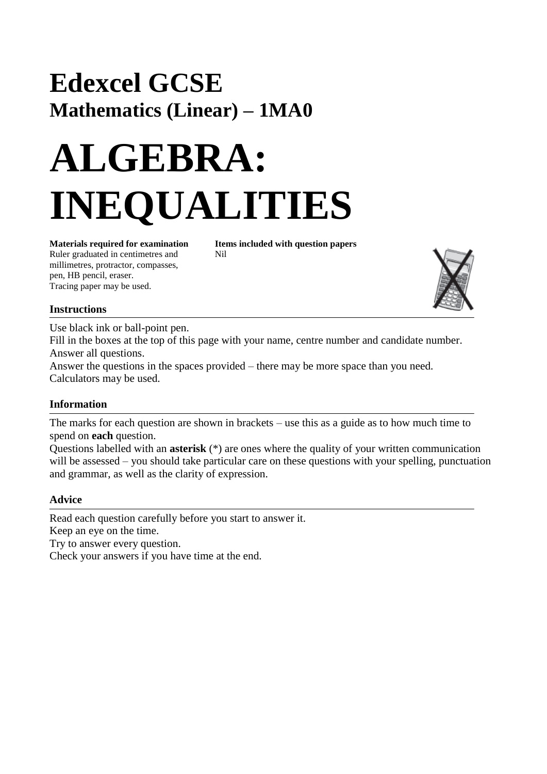# **Edexcel GCSE Mathematics (Linear) – 1MA0**

# **ALGEBRA: INEQUALITIES**

Ruler graduated in centimetres and Nil millimetres, protractor, compasses, pen, HB pencil, eraser. Tracing paper may be used.

**Materials required for examination Items included with question papers**



## **Instructions**

Use black ink or ball-point pen.

Fill in the boxes at the top of this page with your name, centre number and candidate number. Answer all questions.

Answer the questions in the spaces provided – there may be more space than you need. Calculators may be used.

## **Information**

The marks for each question are shown in brackets – use this as a guide as to how much time to spend on **each** question.

Questions labelled with an **asterisk** (\*) are ones where the quality of your written communication will be assessed – you should take particular care on these questions with your spelling, punctuation and grammar, as well as the clarity of expression.

#### **Advice**

Read each question carefully before you start to answer it. Keep an eye on the time. Try to answer every question. Check your answers if you have time at the end.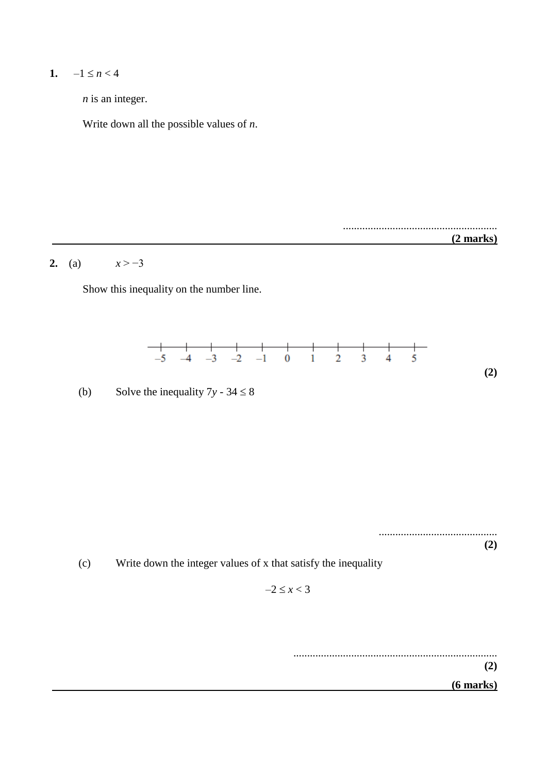# 1.  $-1 \le n < 4$

*n* is an integer.

Write down all the possible values of *n*.



**(2)**

 **(6 marks)**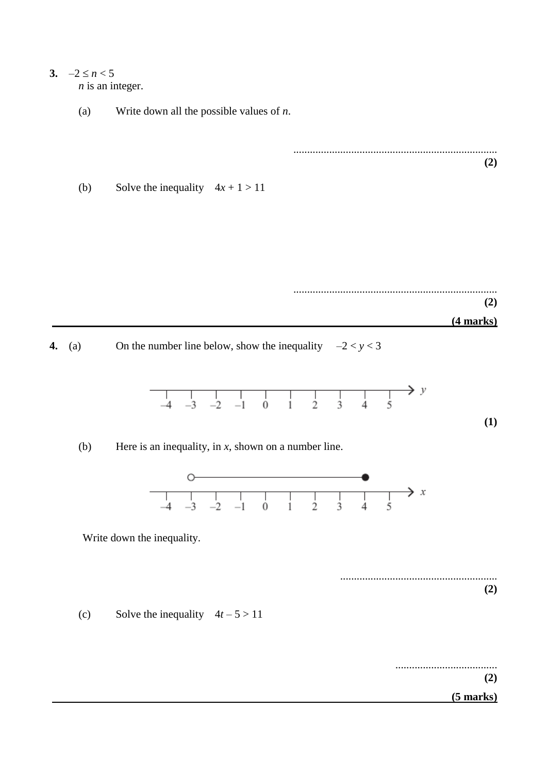#### 3.  $-2 \le n < 5$ *n* is an integer.

(a) Write down all the possible values of *n*.

.......................................................................... **(2)**

(b) Solve the inequality  $4x + 1 > 11$ 

.......................................................................... **(2) (4 marks)**

**4.** (a) On the number line below, show the inequality  $-2 < y < 3$ 



(b) Here is an inequality, in *x*, shown on a number line.



Write down the inequality.

......................................................... **(2)**

(c) Solve the inequality  $4t - 5 > 11$ 

.....................................

**(2)**

**(1)**

 **(5 marks)**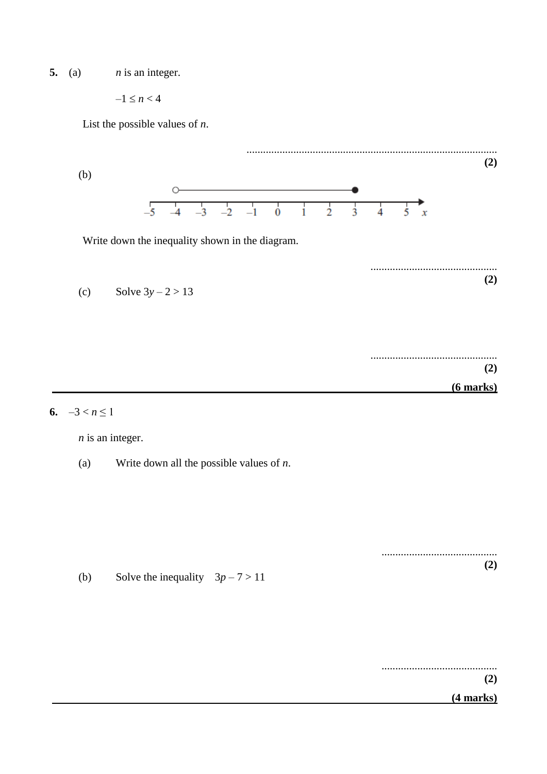**5.** (a)  $n \times n$  is an integer.

 $-1 \le n < 4$ 

List the possible values of *n*.



**6.**  $-3 < n \leq 1$ 

*n* is an integer.

(a) Write down all the possible values of *n*.

.......................................... **(2)**

(b) Solve the inequality  $3p - 7 > 11$ 

..........................................

**(2)**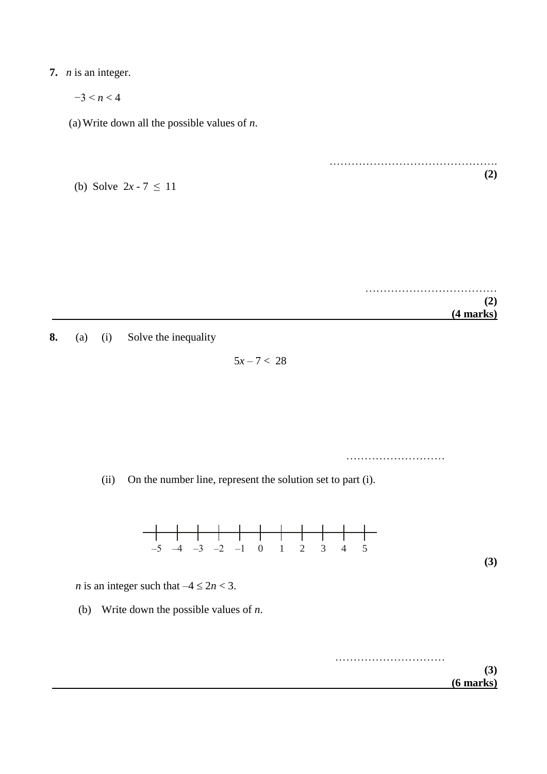# **7.** *n* is an integer.

 $-3 \le n \le 4$ 

(a)Write down all the possible values of *n*.

| (b) Solve $2x - 7 \le 11$ |  |  |
|---------------------------|--|--|
|                           |  |  |

 $\mathcal{L}_{\mathcal{M}}$  . The contract of the contract of the contract of the contract of the contract of the contract of **(2) (4 marks)**

……………………………………….

**(2)**

**8.** (a) (i) Solve the inequality

 $5x - 7 < 28$ 

………………………………

(ii) On the number line, represent the solution set to part (i).



*n* is an integer such that  $-4 \le 2n < 3$ .

(b) Write down the possible values of *n*.

………………………… **(3) (6 marks)**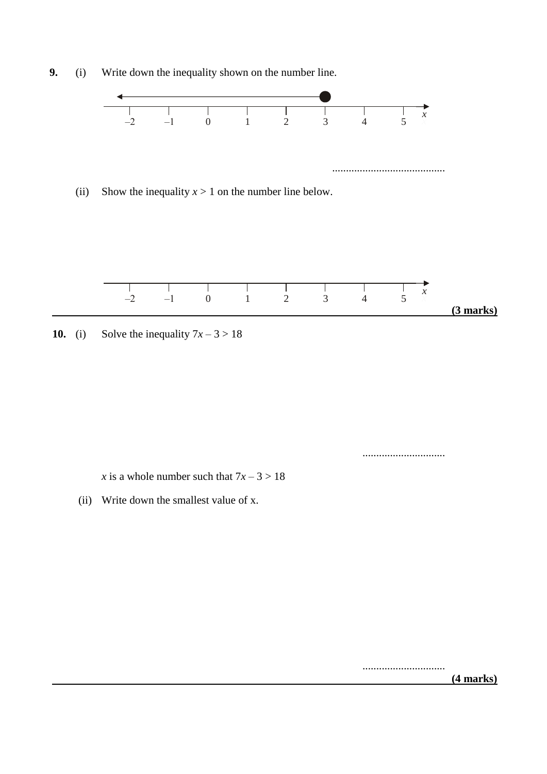**9.** (i) Write down the inequality shown on the number line.



**10.** (i) Solve the inequality  $7x - 3 > 18$ 

..............................

*x* is a whole number such that  $7x - 3 > 18$ 

(ii) Write down the smallest value of x.

..............................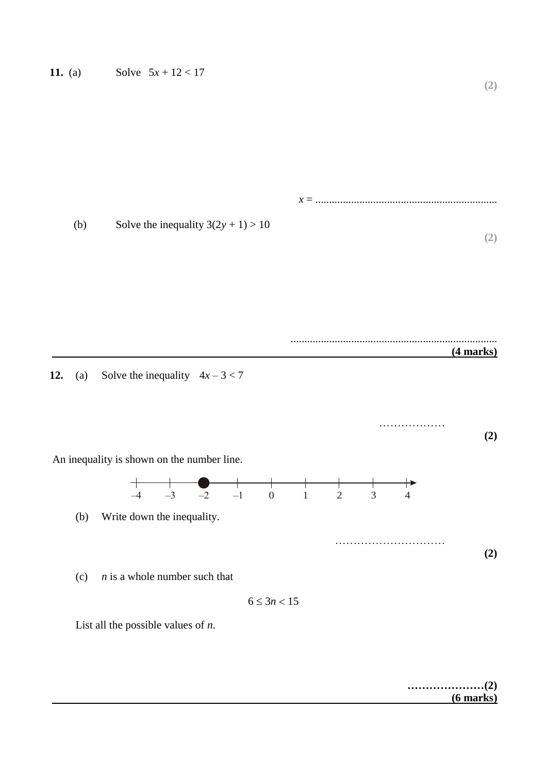*x* = .................................................................. (b) Solve the inequality  $3(2y + 1) > 10$ **(2)**

...........................................................................

**12.** (a) Solve the inequality  $4x - 3 < 7$ 



$$
6\leq 3n<15
$$

List all the possible values of *n*.

**…………………(2) (6 marks)**